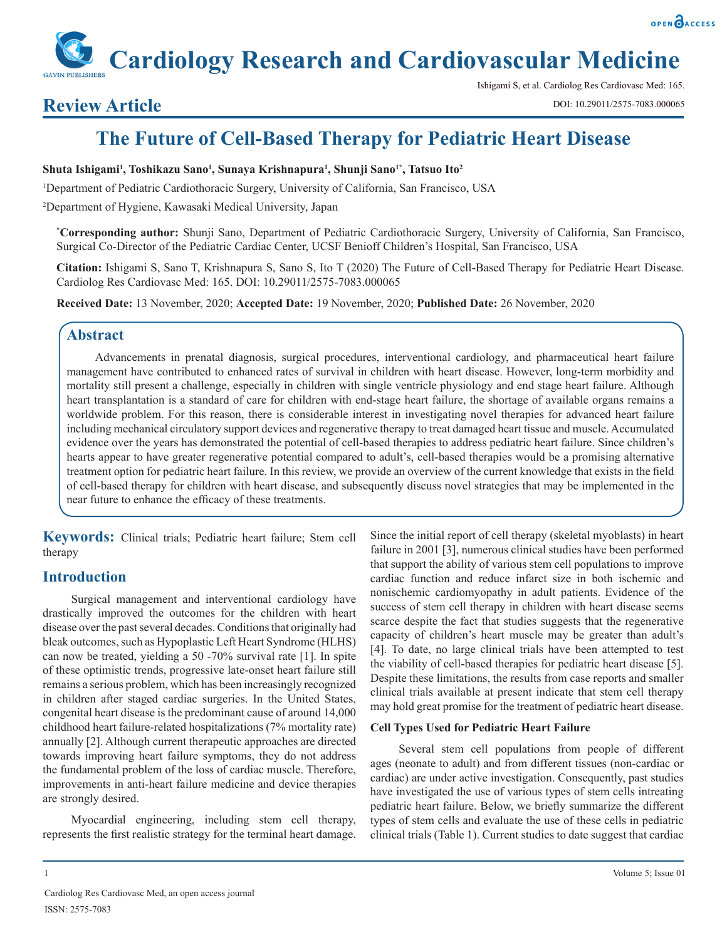## OPEN OACCESS

# **Cardiology Research and Cardiovascular Medicine**

## **Review Article**

Ishigami S, et al. Cardiolog Res Cardiovasc Med: 165.

# **The Future of Cell-Based Therapy for Pediatric Heart Disease**

#### **Shuta Ishigami1 , Toshikazu Sano1 , Sunaya Krishnapura1 , Shunji Sano1\*, Tatsuo Ito2**

1 Department of Pediatric Cardiothoracic Surgery, University of California, San Francisco, USA

2 Department of Hygiene, Kawasaki Medical University, Japan

**\* Corresponding author:** Shunji Sano, Department of Pediatric Cardiothoracic Surgery, University of California, San Francisco, Surgical Co-Director of the Pediatric Cardiac Center, UCSF Benioff Children's Hospital, San Francisco, USA

**Citation:** Ishigami S, Sano T, Krishnapura S, Sano S, Ito T (2020) The Future of Cell-Based Therapy for Pediatric Heart Disease. Cardiolog Res Cardiovasc Med: 165. DOI: 10.29011/2575-7083.000065

**Received Date:** 13 November, 2020; **Accepted Date:** 19 November, 2020; **Published Date:** 26 November, 2020

## **Abstract**

Advancements in prenatal diagnosis, surgical procedures, interventional cardiology, and pharmaceutical heart failure management have contributed to enhanced rates of survival in children with heart disease. However, long-term morbidity and mortality still present a challenge, especially in children with single ventricle physiology and end stage heart failure. Although heart transplantation is a standard of care for children with end-stage heart failure, the shortage of available organs remains a worldwide problem. For this reason, there is considerable interest in investigating novel therapies for advanced heart failure including mechanical circulatory support devices and regenerative therapy to treat damaged heart tissue and muscle. Accumulated evidence over the years has demonstrated the potential of cell-based therapies to address pediatric heart failure. Since children's hearts appear to have greater regenerative potential compared to adult's, cell-based therapies would be a promising alternative treatment option for pediatric heart failure. In this review, we provide an overview of the current knowledge that exists in the field of cell-based therapy for children with heart disease, and subsequently discuss novel strategies that may be implemented in the near future to enhance the efficacy of these treatments.

**Keywords:** Clinical trials; Pediatric heart failure; Stem cell therapy

## **Introduction**

Surgical management and interventional cardiology have drastically improved the outcomes for the children with heart disease over the past several decades. Conditions that originally had bleak outcomes, such as Hypoplastic Left Heart Syndrome (HLHS) can now be treated, yielding a 50 -70% survival rate [1]. In spite of these optimistic trends, progressive late-onset heart failure still remains a serious problem, which has been increasingly recognized in children after staged cardiac surgeries. In the United States, congenital heart disease is the predominant cause of around 14,000 childhood heart failure-related hospitalizations (7% mortality rate) annually [2]. Although current therapeutic approaches are directed towards improving heart failure symptoms, they do not address the fundamental problem of the loss of cardiac muscle. Therefore, improvements in anti-heart failure medicine and device therapies are strongly desired.

Myocardial engineering, including stem cell therapy, represents the first realistic strategy for the terminal heart damage.

Since the initial report of cell therapy (skeletal myoblasts) in heart failure in 2001 [3], numerous clinical studies have been performed that support the ability of various stem cell populations to improve cardiac function and reduce infarct size in both ischemic and nonischemic cardiomyopathy in adult patients. Evidence of the success of stem cell therapy in children with heart disease seems scarce despite the fact that studies suggests that the regenerative capacity of children's heart muscle may be greater than adult's [4]. To date, no large clinical trials have been attempted to test the viability of cell-based therapies for pediatric heart disease [5]. Despite these limitations, the results from case reports and smaller clinical trials available at present indicate that stem cell therapy may hold great promise for the treatment of pediatric heart disease.

#### **Cell Types Used for Pediatric Heart Failure**

Several stem cell populations from people of different ages (neonate to adult) and from different tissues (non-cardiac or cardiac) are under active investigation. Consequently, past studies have investigated the use of various types of stem cells intreating pediatric heart failure. Below, we briefly summarize the different types of stem cells and evaluate the use of these cells in pediatric clinical trials (Table 1). Current studies to date suggest that cardiac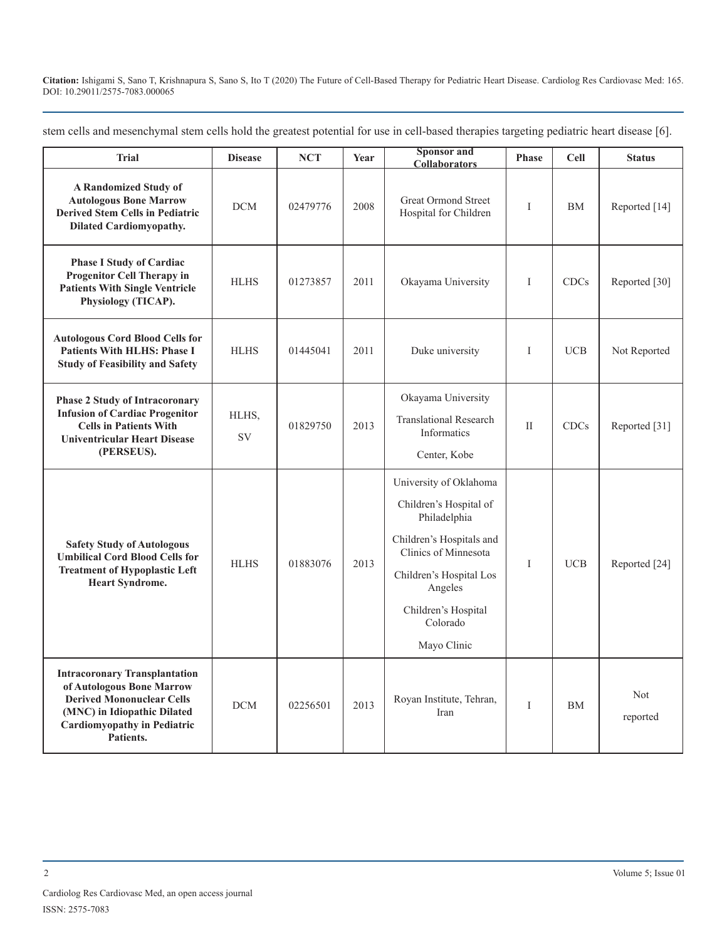stem cells and mesenchymal stem cells hold the greatest potential for use in cell-based therapies targeting pediatric heart disease [6].

| <b>Trial</b>                                                                                                                                                                            | <b>Disease</b>     | <b>NCT</b> | Year | <b>Sponsor</b> and<br><b>Collaborators</b>                                                                                                                                                                   | <b>Phase</b> | <b>Cell</b> | <b>Status</b>   |
|-----------------------------------------------------------------------------------------------------------------------------------------------------------------------------------------|--------------------|------------|------|--------------------------------------------------------------------------------------------------------------------------------------------------------------------------------------------------------------|--------------|-------------|-----------------|
| <b>A Randomized Study of</b><br><b>Autologous Bone Marrow</b><br><b>Derived Stem Cells in Pediatric</b><br><b>Dilated Cardiomyopathy.</b>                                               | <b>DCM</b>         | 02479776   | 2008 | Great Ormond Street<br>Hospital for Children                                                                                                                                                                 | I            | <b>BM</b>   | Reported [14]   |
| <b>Phase I Study of Cardiac</b><br><b>Progenitor Cell Therapy in</b><br><b>Patients With Single Ventricle</b><br>Physiology (TICAP).                                                    | <b>HLHS</b>        | 01273857   | 2011 | Okayama University                                                                                                                                                                                           | I            | CDCs        | Reported [30]   |
| <b>Autologous Cord Blood Cells for</b><br><b>Patients With HLHS: Phase I</b><br><b>Study of Feasibility and Safety</b>                                                                  | <b>HLHS</b>        | 01445041   | 2011 | Duke university                                                                                                                                                                                              | I            | <b>UCB</b>  | Not Reported    |
| <b>Phase 2 Study of Intracoronary</b><br><b>Infusion of Cardiac Progenitor</b><br><b>Cells in Patients With</b><br><b>Univentricular Heart Disease</b><br>(PERSEUS).                    | HLHS,<br><b>SV</b> | 01829750   | 2013 | Okayama University<br><b>Translational Research</b><br>Informatics<br>Center, Kobe                                                                                                                           | $\mathbf{I}$ | <b>CDCs</b> | Reported [31]   |
| <b>Safety Study of Autologous</b><br><b>Umbilical Cord Blood Cells for</b><br><b>Treatment of Hypoplastic Left</b><br><b>Heart Syndrome.</b>                                            | <b>HLHS</b>        | 01883076   | 2013 | University of Oklahoma<br>Children's Hospital of<br>Philadelphia<br>Children's Hospitals and<br>Clinics of Minnesota<br>Children's Hospital Los<br>Angeles<br>Children's Hospital<br>Colorado<br>Mayo Clinic | $\mathbf I$  | <b>UCB</b>  | Reported [24]   |
| <b>Intracoronary Transplantation</b><br>of Autologous Bone Marrow<br><b>Derived Mononuclear Cells</b><br>(MNC) in Idiopathic Dilated<br><b>Cardiomyopathy in Pediatric</b><br>Patients. | <b>DCM</b>         | 02256501   | 2013 | Royan Institute, Tehran,<br>Iran                                                                                                                                                                             | $\mathbf I$  | <b>BM</b>   | Not<br>reported |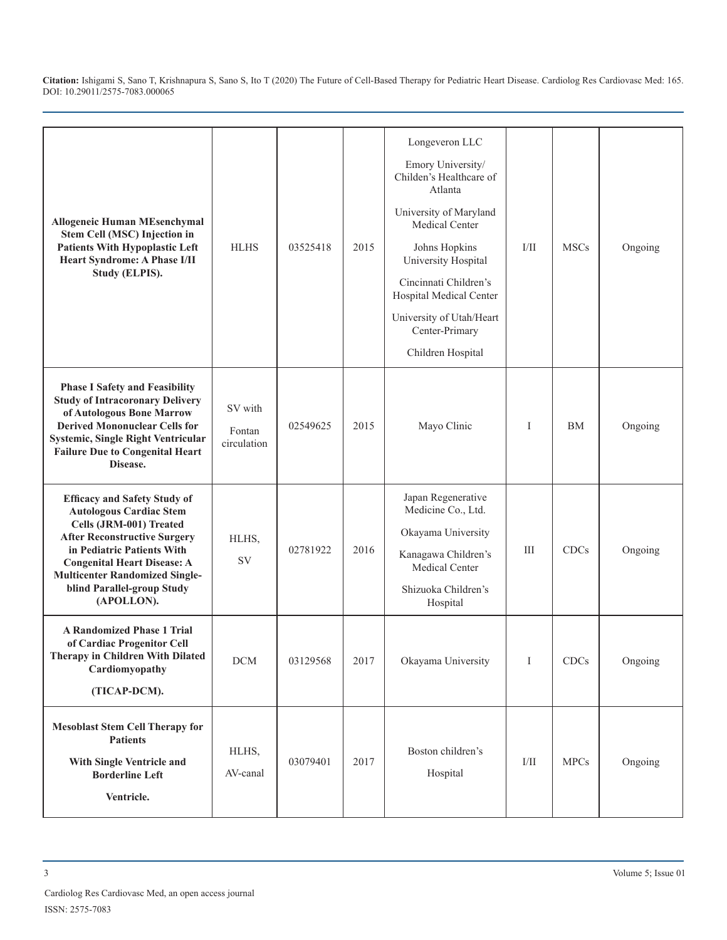| <b>Allogeneic Human MEsenchymal</b><br>Stem Cell (MSC) Injection in<br><b>Patients With Hypoplastic Left</b><br>Heart Syndrome: A Phase I/II<br>Study (ELPIS).                                                                                                                                   | <b>HLHS</b>                      | 03525418 | 2015 | Longeveron LLC<br>Emory University/<br>Childen's Healthcare of<br>Atlanta<br>University of Maryland<br><b>Medical Center</b><br>Johns Hopkins<br>University Hospital<br>Cincinnati Children's<br>Hospital Medical Center<br>University of Utah/Heart<br>Center-Primary<br>Children Hospital | I/II        | <b>MSCs</b> | Ongoing |
|--------------------------------------------------------------------------------------------------------------------------------------------------------------------------------------------------------------------------------------------------------------------------------------------------|----------------------------------|----------|------|---------------------------------------------------------------------------------------------------------------------------------------------------------------------------------------------------------------------------------------------------------------------------------------------|-------------|-------------|---------|
| <b>Phase I Safety and Feasibility</b><br><b>Study of Intracoronary Delivery</b><br>of Autologous Bone Marrow<br><b>Derived Mononuclear Cells for</b><br>Systemic, Single Right Ventricular<br><b>Failure Due to Congenital Heart</b><br>Disease.                                                 | SV with<br>Fontan<br>circulation | 02549625 | 2015 | Mayo Clinic                                                                                                                                                                                                                                                                                 | I           | <b>BM</b>   | Ongoing |
| <b>Efficacy and Safety Study of</b><br><b>Autologous Cardiac Stem</b><br>Cells (JRM-001) Treated<br><b>After Reconstructive Surgery</b><br>in Pediatric Patients With<br><b>Congenital Heart Disease: A</b><br><b>Multicenter Randomized Single-</b><br>blind Parallel-group Study<br>(APOLLON). | HLHS,<br>SV                      | 02781922 | 2016 | Japan Regenerative<br>Medicine Co., Ltd.<br>Okayama University<br>Kanagawa Children's<br>Medical Center<br>Shizuoka Children's<br>Hospital                                                                                                                                                  | Ш           | <b>CDCs</b> | Ongoing |
| <b>A Randomized Phase 1 Trial</b><br>of Cardiac Progenitor Cell<br>Therapy in Children With Dilated<br>Cardiomyopathy<br>(TICAP-DCM).                                                                                                                                                            | $DCM$                            | 03129568 | 2017 | Okayama University                                                                                                                                                                                                                                                                          | I           | CDCs        | Ongoing |
| <b>Mesoblast Stem Cell Therapy for</b><br><b>Patients</b><br>With Single Ventricle and<br><b>Borderline Left</b><br>Ventricle.                                                                                                                                                                   | HLHS,<br>AV-canal                | 03079401 | 2017 | Boston children's<br>Hospital                                                                                                                                                                                                                                                               | $\rm{I/II}$ | <b>MPCs</b> | Ongoing |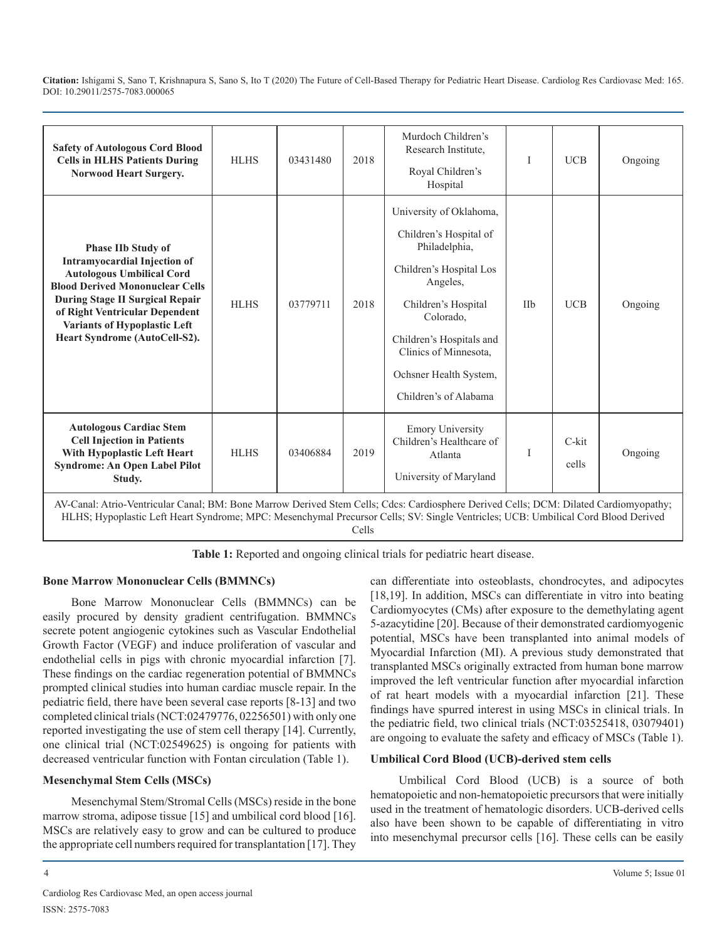| <b>Safety of Autologous Cord Blood</b><br><b>Cells in HLHS Patients During</b><br><b>Norwood Heart Surgery.</b>                                                                                                                                                                                    | <b>HLHS</b> | 03431480 | 2018 | Murdoch Children's<br>Research Institute,<br>Royal Children's<br>Hospital                                                                                                                                                                             | I   | <b>UCB</b>     | Ongoing |
|----------------------------------------------------------------------------------------------------------------------------------------------------------------------------------------------------------------------------------------------------------------------------------------------------|-------------|----------|------|-------------------------------------------------------------------------------------------------------------------------------------------------------------------------------------------------------------------------------------------------------|-----|----------------|---------|
| <b>Phase IIb Study of</b><br><b>Intramyocardial Injection of</b><br><b>Autologous Umbilical Cord</b><br><b>Blood Derived Mononuclear Cells</b><br><b>During Stage II Surgical Repair</b><br>of Right Ventricular Dependent<br><b>Variants of Hypoplastic Left</b><br>Heart Syndrome (AutoCell-S2). | <b>HLHS</b> | 03779711 | 2018 | University of Oklahoma,<br>Children's Hospital of<br>Philadelphia,<br>Children's Hospital Los<br>Angeles,<br>Children's Hospital<br>Colorado.<br>Children's Hospitals and<br>Clinics of Minnesota,<br>Ochsner Health System,<br>Children's of Alabama | IIb | <b>UCB</b>     | Ongoing |
| <b>Autologous Cardiac Stem</b><br><b>Cell Injection in Patients</b><br>With Hypoplastic Left Heart<br><b>Syndrome: An Open Label Pilot</b><br>Study.                                                                                                                                               | <b>HLHS</b> | 03406884 | 2019 | <b>Emory University</b><br>Children's Healthcare of<br>Atlanta<br>University of Maryland                                                                                                                                                              |     | C-kit<br>cells | Ongoing |
| AV-Canal: Atrio-Ventricular Canal; BM: Bone Marrow Derived Stem Cells; Cdcs: Cardiosphere Derived Cells; DCM: Dilated Cardiomyopathy;<br>HLHS; Hypoplastic Left Heart Syndrome; MPC: Mesenchymal Precursor Cells; SV: Single Ventricles; UCB: Umbilical Cord Blood Derived                         |             |          |      |                                                                                                                                                                                                                                                       |     |                |         |

Cells

**Table 1:** Reported and ongoing clinical trials for pediatric heart disease.

## **Bone Marrow Mononuclear Cells (BMMNCs)**

Bone Marrow Mononuclear Cells (BMMNCs) can be easily procured by density gradient centrifugation. BMMNCs secrete potent angiogenic cytokines such as Vascular Endothelial Growth Factor (VEGF) and induce proliferation of vascular and endothelial cells in pigs with chronic myocardial infarction [7]. These findings on the cardiac regeneration potential of BMMNCs prompted clinical studies into human cardiac muscle repair. In the pediatric field, there have been several case reports [8-13] and two completed clinical trials (NCT:02479776, 02256501) with only one reported investigating the use of stem cell therapy [14]. Currently, one clinical trial (NCT:02549625) is ongoing for patients with decreased ventricular function with Fontan circulation (Table 1).

## **Mesenchymal Stem Cells (MSCs)**

Mesenchymal Stem/Stromal Cells (MSCs) reside in the bone marrow stroma, adipose tissue [15] and umbilical cord blood [16]. MSCs are relatively easy to grow and can be cultured to produce the appropriate cell numbers required for transplantation [17]. They can differentiate into osteoblasts, chondrocytes, and adipocytes [18,19]. In addition, MSCs can differentiate in vitro into beating Cardiomyocytes (CMs) after exposure to the demethylating agent 5-azacytidine [20]. Because of their demonstrated cardiomyogenic potential, MSCs have been transplanted into animal models of Myocardial Infarction (MI). A previous study demonstrated that transplanted MSCs originally extracted from human bone marrow improved the left ventricular function after myocardial infarction of rat heart models with a myocardial infarction [21]. These findings have spurred interest in using MSCs in clinical trials. In the pediatric field, two clinical trials (NCT:03525418, 03079401) are ongoing to evaluate the safety and efficacy of MSCs (Table 1).

## **Umbilical Cord Blood (UCB)-derived stem cells**

Umbilical Cord Blood (UCB) is a source of both hematopoietic and non-hematopoietic precursors that were initially used in the treatment of hematologic disorders. UCB-derived cells also have been shown to be capable of differentiating in vitro into mesenchymal precursor cells [16]. These cells can be easily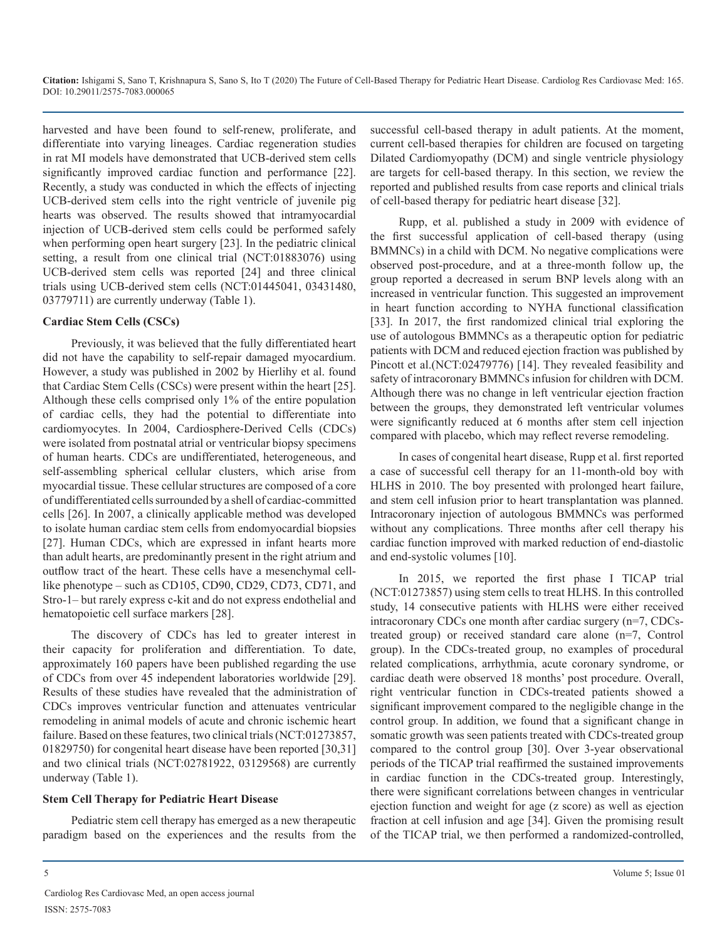harvested and have been found to self-renew, proliferate, and differentiate into varying lineages. Cardiac regeneration studies in rat MI models have demonstrated that UCB-derived stem cells significantly improved cardiac function and performance [22]. Recently, a study was conducted in which the effects of injecting UCB-derived stem cells into the right ventricle of juvenile pig hearts was observed. The results showed that intramyocardial injection of UCB-derived stem cells could be performed safely when performing open heart surgery [23]. In the pediatric clinical setting, a result from one clinical trial (NCT:01883076) using UCB-derived stem cells was reported [24] and three clinical trials using UCB-derived stem cells (NCT:01445041, 03431480, 03779711) are currently underway (Table 1).

#### **Cardiac Stem Cells (CSCs)**

Previously, it was believed that the fully differentiated heart did not have the capability to self-repair damaged myocardium. However, a study was published in 2002 by Hierlihy et al. found that Cardiac Stem Cells (CSCs) were present within the heart [25]. Although these cells comprised only 1% of the entire population of cardiac cells, they had the potential to differentiate into cardiomyocytes. In 2004, Cardiosphere-Derived Cells (CDCs) were isolated from postnatal atrial or ventricular biopsy specimens of human hearts. CDCs are undifferentiated, heterogeneous, and self-assembling spherical cellular clusters, which arise from myocardial tissue. These cellular structures are composed of a core of undifferentiated cells surrounded by a shell of cardiac-committed cells [26]. In 2007, a clinically applicable method was developed to isolate human cardiac stem cells from endomyocardial biopsies [27]. Human CDCs, which are expressed in infant hearts more than adult hearts, are predominantly present in the right atrium and outflow tract of the heart. These cells have a mesenchymal celllike phenotype – such as CD105, CD90, CD29, CD73, CD71, and Stro-1– but rarely express c-kit and do not express endothelial and hematopoietic cell surface markers [28].

The discovery of CDCs has led to greater interest in their capacity for proliferation and differentiation. To date, approximately 160 papers have been published regarding the use of CDCs from over 45 independent laboratories worldwide [29]. Results of these studies have revealed that the administration of CDCs improves ventricular function and attenuates ventricular remodeling in animal models of acute and chronic ischemic heart failure. Based on these features, two clinical trials (NCT:01273857, 01829750) for congenital heart disease have been reported [30,31] and two clinical trials (NCT:02781922, 03129568) are currently underway (Table 1).

#### **Stem Cell Therapy for Pediatric Heart Disease**

Pediatric stem cell therapy has emerged as a new therapeutic paradigm based on the experiences and the results from the successful cell-based therapy in adult patients. At the moment, current cell-based therapies for children are focused on targeting Dilated Cardiomyopathy (DCM) and single ventricle physiology are targets for cell-based therapy. In this section, we review the reported and published results from case reports and clinical trials of cell-based therapy for pediatric heart disease [32].

Rupp, et al. published a study in 2009 with evidence of the first successful application of cell-based therapy (using BMMNCs) in a child with DCM. No negative complications were observed post-procedure, and at a three-month follow up, the group reported a decreased in serum BNP levels along with an increased in ventricular function. This suggested an improvement in heart function according to NYHA functional classification [33]. In 2017, the first randomized clinical trial exploring the use of autologous BMMNCs as a therapeutic option for pediatric patients with DCM and reduced ejection fraction was published by Pincott et al.(NCT:02479776) [14]. They revealed feasibility and safety of intracoronary BMMNCs infusion for children with DCM. Although there was no change in left ventricular ejection fraction between the groups, they demonstrated left ventricular volumes were significantly reduced at 6 months after stem cell injection compared with placebo, which may reflect reverse remodeling.

In cases of congenital heart disease, Rupp et al. first reported a case of successful cell therapy for an 11-month-old boy with HLHS in 2010. The boy presented with prolonged heart failure, and stem cell infusion prior to heart transplantation was planned. Intracoronary injection of autologous BMMNCs was performed without any complications. Three months after cell therapy his cardiac function improved with marked reduction of end-diastolic and end-systolic volumes [10].

In 2015, we reported the first phase I TICAP trial (NCT:01273857) using stem cells to treat HLHS. In this controlled study, 14 consecutive patients with HLHS were either received intracoronary CDCs one month after cardiac surgery (n=7, CDCstreated group) or received standard care alone (n=7, Control group). In the CDCs-treated group, no examples of procedural related complications, arrhythmia, acute coronary syndrome, or cardiac death were observed 18 months' post procedure. Overall, right ventricular function in CDCs-treated patients showed a significant improvement compared to the negligible change in the control group. In addition, we found that a significant change in somatic growth was seen patients treated with CDCs-treated group compared to the control group [30]. Over 3-year observational periods of the TICAP trial reaffirmed the sustained improvements in cardiac function in the CDCs-treated group. Interestingly, there were significant correlations between changes in ventricular ejection function and weight for age (z score) as well as ejection fraction at cell infusion and age [34]. Given the promising result of the TICAP trial, we then performed a randomized-controlled,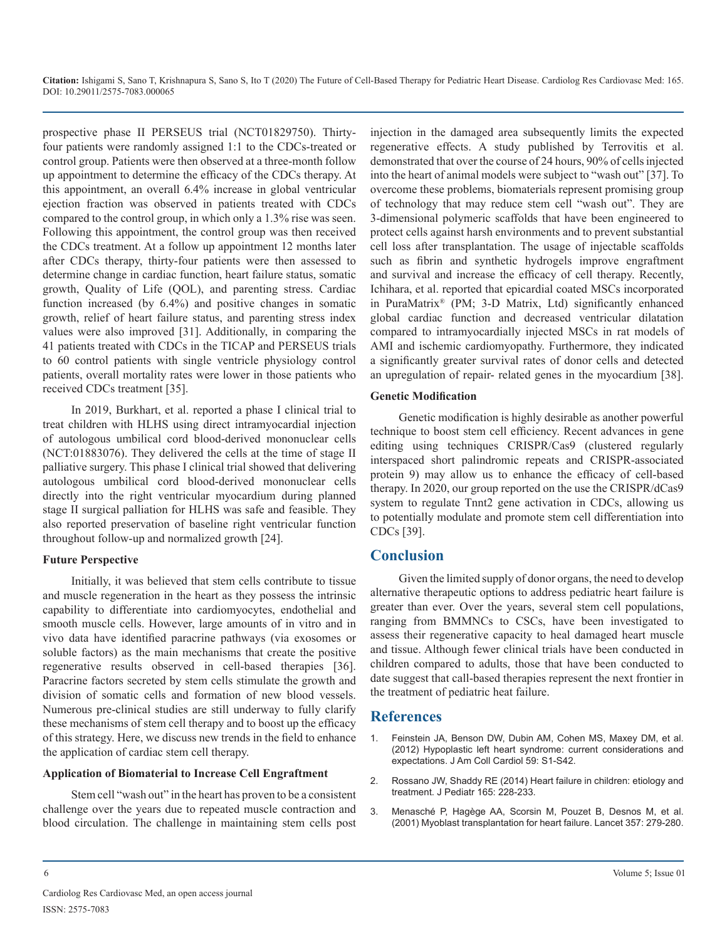prospective phase II PERSEUS trial (NCT01829750). Thirtyfour patients were randomly assigned 1:1 to the CDCs-treated or control group. Patients were then observed at a three-month follow up appointment to determine the efficacy of the CDCs therapy. At this appointment, an overall 6.4% increase in global ventricular ejection fraction was observed in patients treated with CDCs compared to the control group, in which only a 1.3% rise was seen. Following this appointment, the control group was then received the CDCs treatment. At a follow up appointment 12 months later after CDCs therapy, thirty-four patients were then assessed to determine change in cardiac function, heart failure status, somatic growth, Quality of Life (QOL), and parenting stress. Cardiac function increased (by 6.4%) and positive changes in somatic growth, relief of heart failure status, and parenting stress index values were also improved [31]. Additionally, in comparing the 41 patients treated with CDCs in the TICAP and PERSEUS trials to 60 control patients with single ventricle physiology control patients, overall mortality rates were lower in those patients who received CDCs treatment [35].

In 2019, Burkhart, et al. reported a phase I clinical trial to treat children with HLHS using direct intramyocardial injection of autologous umbilical cord blood-derived mononuclear cells (NCT:01883076). They delivered the cells at the time of stage II palliative surgery. This phase I clinical trial showed that delivering autologous umbilical cord blood-derived mononuclear cells directly into the right ventricular myocardium during planned stage II surgical palliation for HLHS was safe and feasible. They also reported preservation of baseline right ventricular function throughout follow-up and normalized growth [24].

#### **Future Perspective**

Initially, it was believed that stem cells contribute to tissue and muscle regeneration in the heart as they possess the intrinsic capability to differentiate into cardiomyocytes, endothelial and smooth muscle cells. However, large amounts of in vitro and in vivo data have identified paracrine pathways (via exosomes or soluble factors) as the main mechanisms that create the positive regenerative results observed in cell-based therapies [36]. Paracrine factors secreted by stem cells stimulate the growth and division of somatic cells and formation of new blood vessels. Numerous pre-clinical studies are still underway to fully clarify these mechanisms of stem cell therapy and to boost up the efficacy of this strategy. Here, we discuss new trends in the field to enhance the application of cardiac stem cell therapy.

#### **Application of Biomaterial to Increase Cell Engraftment**

Stem cell "wash out" in the heart has proven to be a consistent challenge over the years due to repeated muscle contraction and blood circulation. The challenge in maintaining stem cells post

injection in the damaged area subsequently limits the expected regenerative effects. A study published by Terrovitis et al. demonstrated that over the course of 24 hours, 90% of cells injected into the heart of animal models were subject to "wash out" [37]. To overcome these problems, biomaterials represent promising group of technology that may reduce stem cell "wash out". They are 3-dimensional polymeric scaffolds that have been engineered to protect cells against harsh environments and to prevent substantial cell loss after transplantation. The usage of injectable scaffolds such as fibrin and synthetic hydrogels improve engraftment and survival and increase the efficacy of cell therapy. Recently, Ichihara, et al. reported that epicardial coated MSCs incorporated in PuraMatrix® (PM; 3-D Matrix, Ltd) significantly enhanced global cardiac function and decreased ventricular dilatation compared to intramyocardially injected MSCs in rat models of AMI and ischemic cardiomyopathy. Furthermore, they indicated a significantly greater survival rates of donor cells and detected an upregulation of repair- related genes in the myocardium [38].

#### **Genetic Modification**

Genetic modification is highly desirable as another powerful technique to boost stem cell efficiency. Recent advances in gene editing using techniques CRISPR/Cas9 (clustered regularly interspaced short palindromic repeats and CRISPR-associated protein 9) may allow us to enhance the efficacy of cell-based therapy. In 2020, our group reported on the use the CRISPR/dCas9 system to regulate Tnnt2 gene activation in CDCs, allowing us to potentially modulate and promote stem cell differentiation into CDCs [39].

## **Conclusion**

Given the limited supply of donor organs, the need to develop alternative therapeutic options to address pediatric heart failure is greater than ever. Over the years, several stem cell populations, ranging from BMMNCs to CSCs, have been investigated to assess their regenerative capacity to heal damaged heart muscle and tissue. Although fewer clinical trials have been conducted in children compared to adults, those that have been conducted to date suggest that call-based therapies represent the next frontier in the treatment of pediatric heat failure.

## **References**

- 1. Feinstein JA, Benson DW, Dubin AM, Cohen MS, Maxey DM, et al. (2012) Hypoplastic left heart syndrome: current considerations and expectations. J Am Coll Cardiol 59: S1-S42.
- 2. Rossano JW, Shaddy RE (2014) Heart failure in children: etiology and treatment. J Pediatr 165: 228-233.
- 3. Menasché P, Hagège AA, Scorsin M, Pouzet B, Desnos M, et al. (2001) Myoblast transplantation for heart failure. Lancet 357: 279-280.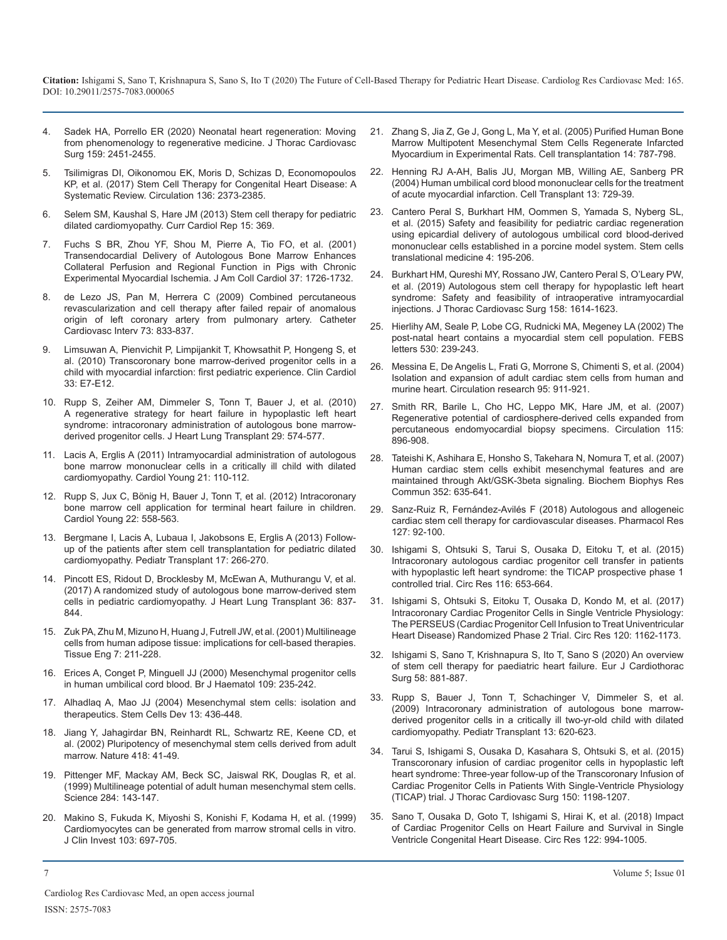- 4. Sadek HA, Porrello ER (2020) Neonatal heart regeneration: Moving from phenomenology to regenerative medicine. J Thorac Cardiovasc Surg 159: 2451-2455.
- 5. Tsilimigras DI, Oikonomou EK, Moris D, Schizas D, Economopoulos KP, et al. (2017) Stem Cell Therapy for Congenital Heart Disease: A Systematic Review. Circulation 136: 2373-2385.
- 6. Selem SM, Kaushal S, Hare JM (2013) Stem cell therapy for pediatric dilated cardiomyopathy. Curr Cardiol Rep 15: 369.
- 7. Fuchs S BR, Zhou YF, Shou M, Pierre A, Tio FO, et al. (2001) Transendocardial Delivery of Autologous Bone Marrow Enhances Collateral Perfusion and Regional Function in Pigs with Chronic Experimental Myocardial Ischemia. J Am Coll Cardiol 37: 1726-1732.
- 8. de Lezo JS, Pan M, Herrera C (2009) Combined percutaneous revascularization and cell therapy after failed repair of anomalous origin of left coronary artery from pulmonary artery. Catheter Cardiovasc Interv 73: 833-837.
- 9. Limsuwan A, Pienvichit P, Limpijankit T, Khowsathit P, Hongeng S, et al. (2010) Transcoronary bone marrow-derived progenitor cells in a child with myocardial infarction: first pediatric experience. Clin Cardiol 33: E7-E12.
- 10. Rupp S, Zeiher AM, Dimmeler S, Tonn T, Bauer J, et al. (2010) A regenerative strategy for heart failure in hypoplastic left heart syndrome: intracoronary administration of autologous bone marrowderived progenitor cells. J Heart Lung Transplant 29: 574-577.
- 11. Lacis A, Erglis A (2011) Intramyocardial administration of autologous bone marrow mononuclear cells in a critically ill child with dilated cardiomyopathy. Cardiol Young 21: 110-112.
- 12. Rupp S, Jux C, Bönig H, Bauer J, Tonn T, et al. (2012) Intracoronary bone marrow cell application for terminal heart failure in children. Cardiol Young 22: 558-563.
- 13. Bergmane I, Lacis A, Lubaua I, Jakobsons E, Erglis A (2013) Followup of the patients after stem cell transplantation for pediatric dilated cardiomyopathy. Pediatr Transplant 17: 266-270.
- 14. Pincott ES, Ridout D, Brocklesby M, McEwan A, Muthurangu V, et al. (2017) A randomized study of autologous bone marrow-derived stem cells in pediatric cardiomyopathy. J Heart Lung Transplant 36: 837- 844.
- 15. Zuk PA, Zhu M, Mizuno H, Huang J, Futrell JW, et al. (2001) Multilineage cells from human adipose tissue: implications for cell-based therapies. Tissue Eng 7: 211-228.
- 16. Erices A, Conget P, Minguell JJ (2000) Mesenchymal progenitor cells in human umbilical cord blood. Br J Haematol 109: 235-242.
- 17. Alhadlaq A, Mao JJ (2004) Mesenchymal stem cells: isolation and therapeutics. Stem Cells Dev 13: 436-448.
- 18. Jiang Y, Jahagirdar BN, Reinhardt RL, Schwartz RE, Keene CD, et al. (2002) Pluripotency of mesenchymal stem cells derived from adult marrow. Nature 418: 41-49.
- 19. Pittenger MF, Mackay AM, Beck SC, Jaiswal RK, Douglas R, et al. (1999) Multilineage potential of adult human mesenchymal stem cells. Science 284: 143-147.
- 20. Makino S, Fukuda K, Miyoshi S, Konishi F, Kodama H, et al. (1999) Cardiomyocytes can be generated from marrow stromal cells in vitro. J Clin Invest 103: 697-705.
- 21. Zhang S, Jia Z, Ge J, Gong L, Ma Y, et al. (2005) Purified Human Bone Marrow Multipotent Mesenchymal Stem Cells Regenerate Infarcted Myocardium in Experimental Rats. Cell transplantation 14: 787-798.
- 22. Henning RJ A-AH, Balis JU, Morgan MB, Willing AE, Sanberg PR (2004) Human umbilical cord blood mononuclear cells for the treatment of acute myocardial infarction. Cell Transplant 13: 729-39.
- 23. Cantero Peral S, Burkhart HM, Oommen S, Yamada S, Nyberg SL, et al. (2015) Safety and feasibility for pediatric cardiac regeneration using epicardial delivery of autologous umbilical cord blood-derived mononuclear cells established in a porcine model system. Stem cells translational medicine 4: 195-206.
- 24. Burkhart HM, Qureshi MY, Rossano JW, Cantero Peral S, O'Leary PW, et al. (2019) Autologous stem cell therapy for hypoplastic left heart syndrome: Safety and feasibility of intraoperative intramyocardial injections. J Thorac Cardiovasc Surg 158: 1614-1623.
- 25. Hierlihy AM, Seale P, Lobe CG, Rudnicki MA, Megeney LA (2002) The post-natal heart contains a myocardial stem cell population. FEBS letters 530: 239-243.
- 26. Messina E, De Angelis L, Frati G, Morrone S, Chimenti S, et al. (2004) Isolation and expansion of adult cardiac stem cells from human and murine heart. Circulation research 95: 911-921.
- 27. Smith RR, Barile L, Cho HC, Leppo MK, Hare JM, et al. (2007) Regenerative potential of cardiosphere-derived cells expanded from percutaneous endomyocardial biopsy specimens. Circulation 115: 896-908.
- 28. Tateishi K, Ashihara E, Honsho S, Takehara N, Nomura T, et al. (2007) Human cardiac stem cells exhibit mesenchymal features and are maintained through Akt/GSK-3beta signaling. Biochem Biophys Res Commun 352: 635-641.
- 29. Sanz-Ruiz R, Fernández-Avilés F (2018) Autologous and allogeneic cardiac stem cell therapy for cardiovascular diseases. Pharmacol Res 127: 92-100.
- 30. Ishigami S, Ohtsuki S, Tarui S, Ousaka D, Eitoku T, et al. (2015) Intracoronary autologous cardiac progenitor cell transfer in patients with hypoplastic left heart syndrome: the TICAP prospective phase 1 controlled trial. Circ Res 116: 653-664.
- 31. Ishigami S, Ohtsuki S, Eitoku T, Ousaka D, Kondo M, et al. (2017) Intracoronary Cardiac Progenitor Cells in Single Ventricle Physiology: The PERSEUS (Cardiac Progenitor Cell Infusion to Treat Univentricular Heart Disease) Randomized Phase 2 Trial. Circ Res 120: 1162-1173.
- 32. Ishigami S, Sano T, Krishnapura S, Ito T, Sano S (2020) An overview of stem cell therapy for paediatric heart failure. Eur J Cardiothorac Surg 58: 881-887.
- 33. Rupp S, Bauer J, Tonn T, Schachinger V, Dimmeler S, et al. (2009) Intracoronary administration of autologous bone marrowderived progenitor cells in a critically ill two-yr-old child with dilated cardiomyopathy. Pediatr Transplant 13: 620-623.
- 34. Tarui S, Ishigami S, Ousaka D, Kasahara S, Ohtsuki S, et al. (2015) Transcoronary infusion of cardiac progenitor cells in hypoplastic left heart syndrome: Three-year follow-up of the Transcoronary Infusion of Cardiac Progenitor Cells in Patients With Single-Ventricle Physiology (TICAP) trial. J Thorac Cardiovasc Surg 150: 1198-1207.
- 35. Sano T, Ousaka D, Goto T, Ishigami S, Hirai K, et al. (2018) Impact of Cardiac Progenitor Cells on Heart Failure and Survival in Single Ventricle Congenital Heart Disease. Circ Res 122: 994-1005.